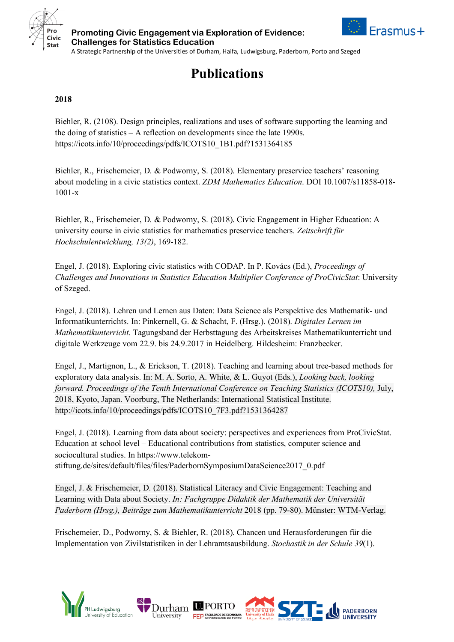





**Publications**

## **2018**

Biehler, R. (2108). Design principles, realizations and uses of software supporting the learning and the doing of statistics – A reflection on developments since the late 1990s. https://icots.info/10/proceedings/pdfs/ICOTS10\_1B1.pdf?1531364185

Biehler, R., Frischemeier, D. & Podworny, S. (2018). Elementary preservice teachers' reasoning about modeling in a civic statistics context. *ZDM Mathematics Education*. DOI 10.1007/s11858-018- 1001-x

Biehler, R., Frischemeier, D. & Podworny, S. (2018). Civic Engagement in Higher Education: A university course in civic statistics for mathematics preservice teachers. *Zeitschrift für Hochschulentwicklung, 13(2)*, 169-182.

Engel, J. (2018). Exploring civic statistics with CODAP. In P. Kovács (Ed.), *Proceedings of Challenges and Innovations in Statistics Education Multiplier Conference of ProCivicStat*: University of Szeged.

Engel, J. (2018). Lehren und Lernen aus Daten: Data Science als Perspektive des Mathematik- und Informatikunterrichts. In: Pinkernell, G. & Schacht, F. (Hrsg.). (2018). *Digitales Lernen im Mathematikunterricht*. Tagungsband der Herbsttagung des Arbeitskreises Mathematikunterricht und digitale Werkzeuge vom 22.9. bis 24.9.2017 in Heidelberg. Hildesheim: Franzbecker.

Engel, J., Martignon, L., & Erickson, T. (2018). Teaching and learning about tree-based methods for exploratory data analysis. In: M. A. Sorto, A. White, & L. Guyot (Eds.), *Looking back, looking forward. Proceedings of the Tenth International Conference on Teaching Statistics (ICOTS10),* July, 2018, Kyoto, Japan. Voorburg, The Netherlands: International Statistical Institute. http://icots.info/10/proceedings/pdfs/ICOTS10\_7F3.pdf?1531364287

Engel, J. (2018). Learning from data about society: perspectives and experiences from ProCivicStat. Education at school level – Educational contributions from statistics, computer science and sociocultural studies. In https://www.telekomstiftung.de/sites/default/files/files/PaderbornSymposiumDataScience2017\_0.pdf

Engel, J. & Frischemeier, D. (2018). Statistical Literacy and Civic Engagement: Teaching and Learning with Data about Society. *In: Fachgruppe Didaktik der Mathematik der Universität Paderborn (Hrsg.), Beiträge zum Mathematikunterricht* 2018 (pp. 79-80). Münster: WTM-Verlag.

Frischemeier, D., Podworny, S. & Biehler, R. (2018). Chancen und Herausforderungen für die Implementation von Zivilstatistiken in der Lehramtsausbildung. *Stochastik in der Schule 39*(1).

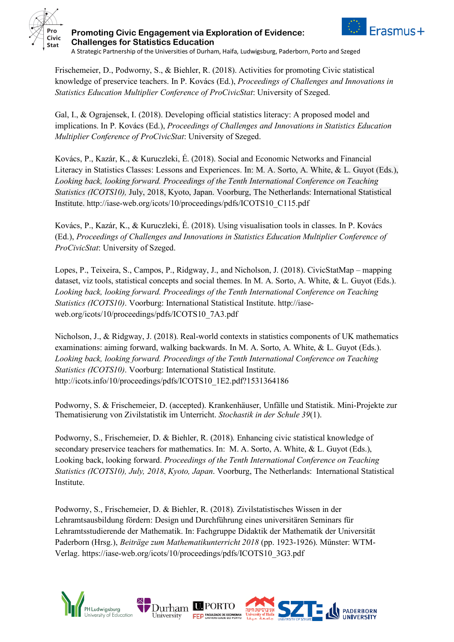



**Challenges for Statistics Education** A Strategic Partnership of the Universities of Durham, Haifa, Ludwigsburg, Paderborn, Porto and Szeged

**Promoting Civic Engagement via Exploration of Evidence:**

Frischemeier, D., Podworny, S., & Biehler, R. (2018). Activities for promoting Civic statistical knowledge of preservice teachers. In P. Kovács (Ed.), *Proceedings of Challenges and Innovations in Statistics Education Multiplier Conference of ProCivicStat*: University of Szeged.

Gal, I., & Ograjensek, I. (2018). Developing official statistics literacy: A proposed model and implications. In P. Kovács (Ed.), *Proceedings of Challenges and Innovations in Statistics Education Multiplier Conference of ProCivicStat*: University of Szeged.

Kovács, P., Kazár, K., & Kuruczleki, É. (2018). Social and Economic Networks and Financial Literacy in Statistics Classes: Lessons and Experiences. In: M. A. Sorto, A. White, & L. Guyot (Eds.), *Looking back, looking forward. Proceedings of the Tenth International Conference on Teaching Statistics (ICOTS10),* July, 2018, Kyoto, Japan. Voorburg, The Netherlands: International Statistical Institute. http://iase-web.org/icots/10/proceedings/pdfs/ICOTS10\_C115.pdf

Kovács, P., Kazár, K., & Kuruczleki, É. (2018). Using visualisation tools in classes. In P. Kovács (Ed.), *Proceedings of Challenges and Innovations in Statistics Education Multiplier Conference of ProCivicStat*: University of Szeged.

Lopes, P., Teixeira, S., Campos, P., Ridgway, J., and Nicholson, J. (2018). CivicStatMap – mapping dataset, viz tools, statistical concepts and social themes. In M. A. Sorto, A. White, & L. Guyot (Eds.). *Looking back, looking forward. Proceedings of the Tenth International Conference on Teaching Statistics (ICOTS10)*. Voorburg: International Statistical Institute. http://iaseweb.org/icots/10/proceedings/pdfs/ICOTS10\_7A3.pdf

Nicholson, J., & Ridgway, J. (2018). Real-world contexts in statistics components of UK mathematics examinations: aiming forward, walking backwards. In M. A. Sorto, A. White, & L. Guyot (Eds.). *Looking back, looking forward. Proceedings of the Tenth International Conference on Teaching Statistics (ICOTS10)*. Voorburg: International Statistical Institute. http://icots.info/10/proceedings/pdfs/ICOTS10\_1E2.pdf?1531364186

Podworny, S. & Frischemeier, D. (accepted). Krankenhäuser, Unfälle und Statistik. Mini-Projekte zur Thematisierung von Zivilstatistik im Unterricht. *Stochastik in der Schule 39*(1).

Podworny, S., Frischemeier, D. & Biehler, R. (2018). Enhancing civic statistical knowledge of secondary preservice teachers for mathematics. In: M. A. Sorto, A. White, & L. Guyot (Eds.), Looking back, looking forward. *Proceedings of the Tenth International Conference on Teaching Statistics (ICOTS10), July, 2018*, *Kyoto, Japan*. Voorburg, The Netherlands: International Statistical Institute.

Podworny, S., Frischemeier, D. & Biehler, R. (2018). Zivilstatistisches Wissen in der Lehramtsausbildung fördern: Design und Durchführung eines universitären Seminars für Lehramtsstudierende der Mathematik. In: Fachgruppe Didaktik der Mathematik der Universität Paderborn (Hrsg.), *Beiträge zum Mathematikunterricht 2018* (pp. 1923-1926). Münster: WTM-Verlag. https://iase-web.org/icots/10/proceedings/pdfs/ICOTS10\_3G3.pdf

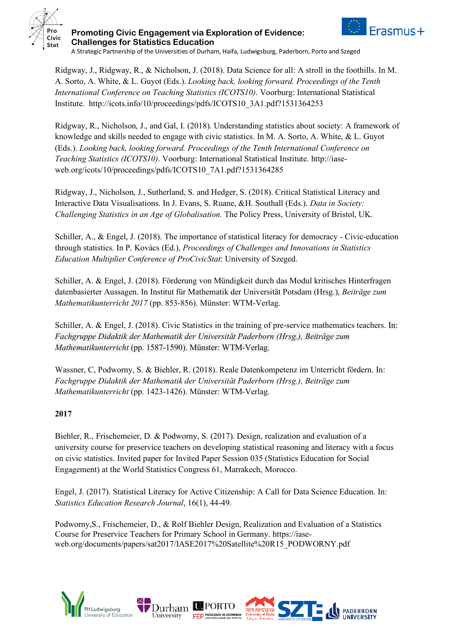





A Strategic Partnership of the Universities of Durham, Haifa, Ludwigsburg, Paderborn, Porto and Szeged

Ridgway, J., Ridgway, R., & Nicholson, J. (2018). Data Science for all: A stroll in the foothills. In M. A. Sorto, A. White, & L. Guyot (Eds.). *Looking back, looking forward. Proceedings of the Tenth International Conference on Teaching Statistics (ICOTS10)*. Voorburg: International Statistical Institute. http://icots.info/10/proceedings/pdfs/ICOTS10\_3A1.pdf?1531364253

Ridgway, R., Nicholson, J., and Gal, I. (2018). Understanding statistics about society: A framework of knowledge and skills needed to engage with civic statistics. In M. A. Sorto, A. White, & L. Guyot (Eds.). *Looking back, looking forward. Proceedings of the Tenth International Conference on Teaching Statistics (ICOTS10)*. Voorburg: International Statistical Institute. http://iaseweb.org/icots/10/proceedings/pdfs/ICOTS10\_7A1.pdf?1531364285

Ridgway, J., Nicholson, J., Sutherland, S. and Hedger, S. (2018). Critical Statistical Literacy and Interactive Data Visualisations. In J. Evans, S. Ruane, &H. Southall (Eds.). *Data in Society: Challenging Statistics in an Age of Globalisation.* The Policy Press, University of Bristol, UK.

Schiller, A., & Engel, J. (2018). The importance of statistical literacy for democracy - Civic-education through statistics. In P. Kovács (Ed.), *Proceedings of Challenges and Innovations in Statistics Education Multiplier Conference of ProCivicStat*: University of Szeged.

Schiller, A. & Engel, J. (2018). Förderung von Mündigkeit durch das Modul kritisches Hinterfragen datenbasierter Aussagen. In Institut für Mathematik der Universität Potsdam (Hrsg.), *Beiträge zum Mathematikunterricht 2017* (pp. 853-856). Münster: WTM-Verlag.

Schiller, A. & Engel, J. (2018). Civic Statistics in the training of pre-service mathematics teachers. In: *Fachgruppe Didaktik der Mathematik der Universität Paderborn (Hrsg.), Beiträge zum Mathematikunterricht* (pp. 1587-1590). Münster: WTM-Verlag.

Wassner, C, Podworny, S. & Biehler, R. (2018). Reale Datenkompetenz im Unterricht fördern. In: *Fachgruppe Didaktik der Mathematik der Universität Paderborn (Hrsg.), Beiträge zum Mathematikunterricht* (pp. 1423-1426). Münster: WTM-Verlag.

## **2017**

Biehler, R., Frischemeier, D. & Podworny, S. (2017). Design, realization and evaluation of a university course for preservice teachers on developing statistical reasoning and literacy with a focus on civic statistics. Invited paper for Invited Paper Session 035 (Statistics Education for Social Engagement) at the World Statistics Congress 61, Marrakech, Morocco.

Engel, J. (2017). Statistical Literacy for Active Citizenship: A Call for Data Science Education. In: *Statistics Education Research Journal*, 16(1), 44-49.

Podworny,S., Frischemeier, D., & Rolf Biehler Design, Realization and Evaluation of a Statistics Course for Preservice Teachers for Primary School in Germany. https://iaseweb.org/documents/papers/sat2017/IASE2017%20Satellite%20R15\_PODWORNY.pdf

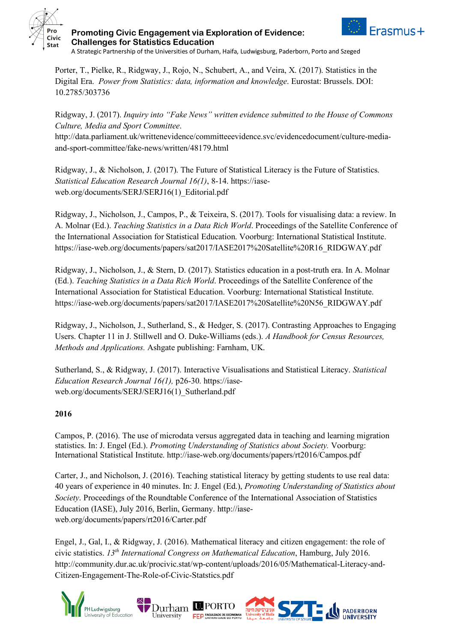



**Promoting Civic Engagement via Exploration of Evidence: Challenges for Statistics Education**

A Strategic Partnership of the Universities of Durham, Haifa, Ludwigsburg, Paderborn, Porto and Szeged

Porter, T., Pielke, R., Ridgway, J., Rojo, N., Schubert, A., and Veira, X. (2017). Statistics in the Digital Era. *Power from Statistics: data, information and knowledge*. Eurostat: Brussels. DOI: 10.2785/303736

Ridgway, J. (2017). *Inquiry into "Fake News" written evidence submitted to the House of Commons Culture, Media and Sport Committee*.

http://data.parliament.uk/writtenevidence/committeeevidence.svc/evidencedocument/culture-mediaand-sport-committee/fake-news/written/48179.html

Ridgway, J., & Nicholson, J. (2017). The Future of Statistical Literacy is the Future of Statistics. *Statistical Education Research Journal 16(1)*, 8-14. https://iaseweb.org/documents/SERJ/SERJ16(1)\_Editorial.pdf

Ridgway, J., Nicholson, J., Campos, P., & Teixeira, S. (2017). Tools for visualising data: a review. In A. Molnar (Ed.). *Teaching Statistics in a Data Rich World*. Proceedings of the Satellite Conference of the International Association for Statistical Education. Voorburg: International Statistical Institute. https://iase-web.org/documents/papers/sat2017/IASE2017%20Satellite%20R16\_RIDGWAY.pdf

Ridgway, J., Nicholson, J., & Stern, D. (2017). Statistics education in a post-truth era. In A. Molnar (Ed.). *Teaching Statistics in a Data Rich World*. Proceedings of the Satellite Conference of the International Association for Statistical Education. Voorburg: International Statistical Institute. https://iase-web.org/documents/papers/sat2017/IASE2017%20Satellite%20N56\_RIDGWAY.pdf

Ridgway, J., Nicholson, J., Sutherland, S., & Hedger, S. (2017). Contrasting Approaches to Engaging Users. Chapter 11 in J. Stillwell and O. Duke-Williams (eds.). *A Handbook for Census Resources, Methods and Applications.* Ashgate publishing: Farnham, UK.

Sutherland, S., & Ridgway, J. (2017). Interactive Visualisations and Statistical Literacy. *Statistical Education Research Journal 16(1),* p26-30. https://iaseweb.org/documents/SERJ/SERJ16(1) Sutherland.pdf

## **2016**

Campos, P. (2016). The use of microdata versus aggregated data in teaching and learning migration statistics. In: J. Engel (Ed.). *Promoting Understanding of Statistics about Society.* Voorburg: International Statistical Institute. http://iase-web.org/documents/papers/rt2016/Campos.pdf

Carter, J., and Nicholson, J. (2016). Teaching statistical literacy by getting students to use real data: 40 years of experience in 40 minutes. In: J. Engel (Ed.), *Promoting Understanding of Statistics about Society*. Proceedings of the Roundtable Conference of the International Association of Statistics Education (IASE), July 2016, Berlin, Germany. http://iaseweb.org/documents/papers/rt2016/Carter.pdf

Engel, J., Gal, I., & Ridgway, J. (2016). Mathematical literacy and citizen engagement: the role of civic statistics. *13th International Congress on Mathematical Education*, Hamburg, July 2016. http://community.dur.ac.uk/procivic.stat/wp-content/uploads/2016/05/Mathematical-Literacy-and-Citizen-Engagement-The-Role-of-Civic-Statstics.pdf

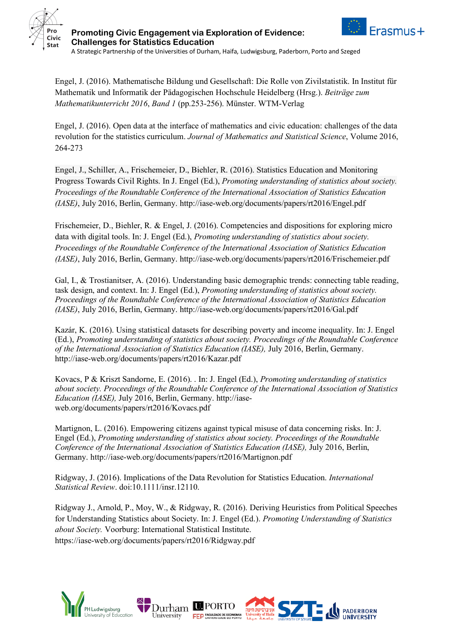



**Challenges for Statistics Education** A Strategic Partnership of the Universities of Durham, Haifa, Ludwigsburg, Paderborn, Porto and Szeged

**Promoting Civic Engagement via Exploration of Evidence:**

Engel, J. (2016). Mathematische Bildung und Gesellschaft: Die Rolle von Zivilstatistik. In Institut für Mathematik und Informatik der Pädagogischen Hochschule Heidelberg (Hrsg.). *Beiträge zum Mathematikunterricht 2016*, *Band 1* (pp.253-256). Münster. WTM-Verlag

Engel, J. (2016). Open data at the interface of mathematics and civic education: challenges of the data revolution for the statistics curriculum. *Journal of Mathematics and Statistical Science*, Volume 2016, 264-273

Engel, J., Schiller, A., Frischemeier, D., Biehler, R. (2016). Statistics Education and Monitoring Progress Towards Civil Rights. In J. Engel (Ed.), *Promoting understanding of statistics about society. Proceedings of the Roundtable Conference of the International Association of Statistics Education (IASE)*, July 2016, Berlin, Germany. http://iase-web.org/documents/papers/rt2016/Engel.pdf

Frischemeier, D., Biehler, R. & Engel, J. (2016). Competencies and dispositions for exploring micro data with digital tools. In: J. Engel (Ed.), *Promoting understanding of statistics about society. Proceedings of the Roundtable Conference of the International Association of Statistics Education (IASE)*, July 2016, Berlin, Germany. http://iase-web.org/documents/papers/rt2016/Frischemeier.pdf

Gal, I., & Trostianitser, A. (2016). Understanding basic demographic trends: connecting table reading, task design, and context. In: J. Engel (Ed.), *Promoting understanding of statistics about society. Proceedings of the Roundtable Conference of the International Association of Statistics Education (IASE)*, July 2016, Berlin, Germany. http://iase-web.org/documents/papers/rt2016/Gal.pdf

Kazár, K. (2016). Using statistical datasets for describing poverty and income inequality. In: J. Engel (Ed.), *Promoting understanding of statistics about society. Proceedings of the Roundtable Conference of the International Association of Statistics Education (IASE),* July 2016, Berlin, Germany. http://iase-web.org/documents/papers/rt2016/Kazar.pdf

Kovacs, P & Kriszt Sandorne, E. (2016). . In: J. Engel (Ed.), *Promoting understanding of statistics about society. Proceedings of the Roundtable Conference of the International Association of Statistics Education (IASE),* July 2016, Berlin, Germany. http://iaseweb.org/documents/papers/rt2016/Kovacs.pdf

Martignon, L. (2016). Empowering citizens against typical misuse of data concerning risks. In: J. Engel (Ed.), *Promoting understanding of statistics about society. Proceedings of the Roundtable Conference of the International Association of Statistics Education (IASE),* July 2016, Berlin, Germany. http://iase-web.org/documents/papers/rt2016/Martignon.pdf

Ridgway, J. (2016). Implications of the Data Revolution for Statistics Education. *International Statistical Review*. doi:10.1111/insr.12110.

Ridgway J., Arnold, P., Moy, W., & Ridgway, R. (2016). Deriving Heuristics from Political Speeches for Understanding Statistics about Society. In: J. Engel (Ed.). *Promoting Understanding of Statistics about Society.* Voorburg: International Statistical Institute. https://iase-web.org/documents/papers/rt2016/Ridgway.pdf